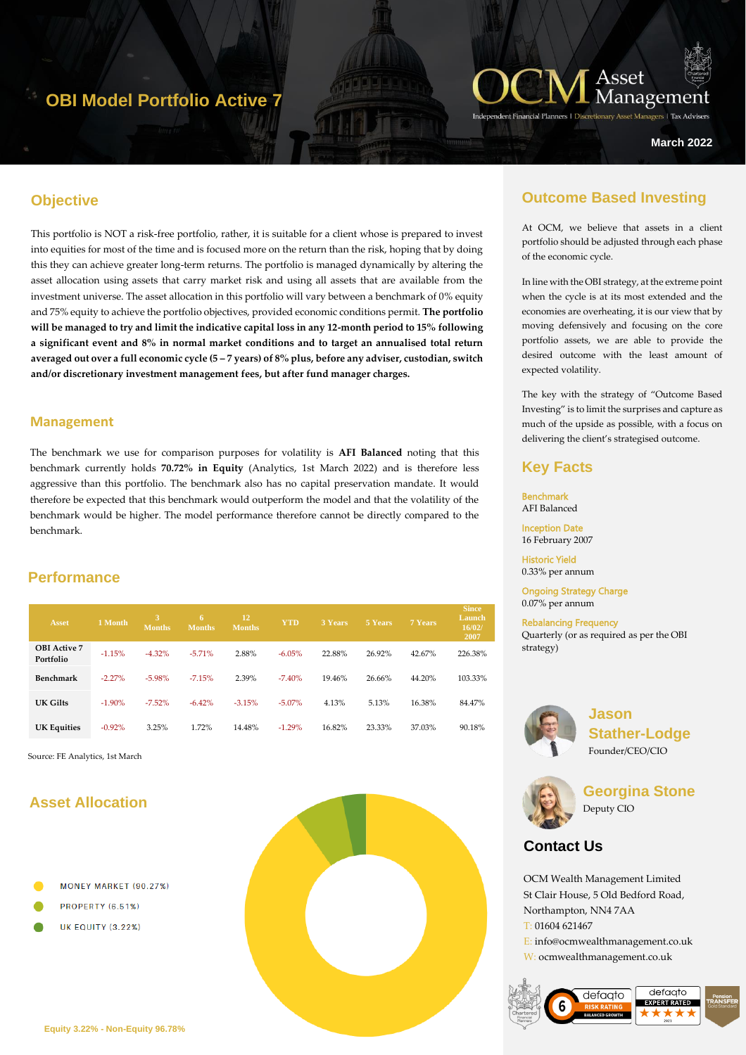## **OBI Model Portfolio Active 7**



**March 2022**

### **Objective**

This portfolio is NOT a risk-free portfolio, rather, it is suitable for a client whose is prepared to invest into equities for most of the time and is focused more on the return than the risk, hoping that by doing this they can achieve greater long-term returns. The portfolio is managed dynamically by altering the asset allocation using assets that carry market risk and using all assets that are available from the investment universe. The asset allocation in this portfolio will vary between a benchmark of 0% equity and 75% equity to achieve the portfolio objectives, provided economic conditions permit. **The portfolio will be managed to try and limit the indicative capital loss in any 12-month period to 15% following a significant event and 8% in normal market conditions and to target an annualised total return averaged out over a full economic cycle (5 – 7 years) of 8% plus, before any adviser, custodian, switch and/or discretionary investment management fees, but after fund manager charges.**

#### **Management**

The benchmark we use for comparison purposes for volatility is **AFI Balanced** noting that this benchmark currently holds **70.72% in Equity** (Analytics, 1st March 2022) and is therefore less aggressive than this portfolio. The benchmark also has no capital preservation mandate. It would therefore be expected that this benchmark would outperform the model and that the volatility of the benchmark would be higher. The model performance therefore cannot be directly compared to the benchmark.

### **Performance**

| Asset                            | 1 Month   | 3<br><b>Months</b> | 6<br><b>Months</b> | 12<br><b>Months</b> | <b>YTD</b> | 3 Years | 5 Years | 7 Years | <b>Since</b><br>Launch<br>16/02/<br>2007 |
|----------------------------------|-----------|--------------------|--------------------|---------------------|------------|---------|---------|---------|------------------------------------------|
| <b>OBI</b> Active 7<br>Portfolio | $-1.15%$  | $-4.32\%$          | $-5.71%$           | 2.88%               | $-6.05%$   | 22.88%  | 26.92%  | 42.67%  | 226.38%                                  |
| Benchmark                        | $-2.27%$  | $-5.98%$           | $-7.15%$           | 2.39%               | $-7.40%$   | 19.46%  | 26.66%  | 44.20%  | 103.33%                                  |
| UK Gilts                         | $-1.90\%$ | $-7.52\%$          | $-6.42%$           | $-3.15%$            | $-5.07\%$  | 4.13%   | 5.13%   | 16.38%  | 84.47%                                   |
| <b>UK Equities</b>               | $-0.92%$  | 3.25%              | 1.72%              | 14.48%              | $-1.29%$   | 16.82%  | 23.33%  | 37.03%  | 90.18%                                   |

Source: FE Analytics, 1st March

### **Asset Allocation**

- MONEY MARKET (90.27%)
- PROPERTY (6.51%)
- **UK EQUITY (3.22%)**



### **Outcome Based Investing**

At OCM, we believe that assets in a client portfolio should be adjusted through each phase of the economic cycle.

In line with the OBI strategy, at the extreme point when the cycle is at its most extended and the economies are overheating, it is our view that by moving defensively and focusing on the core portfolio assets, we are able to provide the desired outcome with the least amount of expected volatility.

The key with the strategy of "Outcome Based Investing" is to limit the surprises and capture as much of the upside as possible, with a focus on delivering the client's strategised outcome.

### **Key Facts**

Benchmark AFI Balanced

Inception Date 16 February 2007

Historic Yield 0.33% per annum

Ongoing Strategy Charge 0.07% per annum

Rebalancing Frequency Quarterly (or as required as per the OBI strategy)



**Jason Stather-Lodge** Founder/CEO/CIO



**Georgina Stone** Deputy CIO

### **Contact Us**

OCM Wealth Management Limited St Clair House, 5 Old Bedford Road, Northampton, NN4 7AA T: 01604 621467 E: info@ocmwealthmanagement.co.uk W: ocmwealthmanagement.co.uk